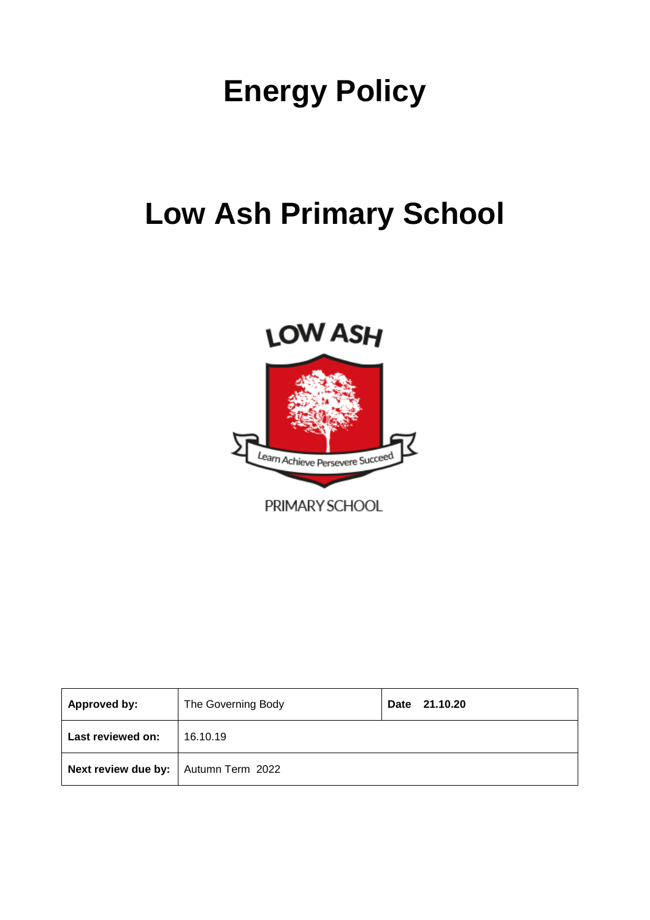# **Energy Policy**

## **Low Ash Primary School**



PRIMARY SCHOOL

| <b>Approved by:</b>                    | The Governing Body | 21.10.20<br>Date |
|----------------------------------------|--------------------|------------------|
| Last reviewed on:                      | 16.10.19           |                  |
| Next review due by:   Autumn Term 2022 |                    |                  |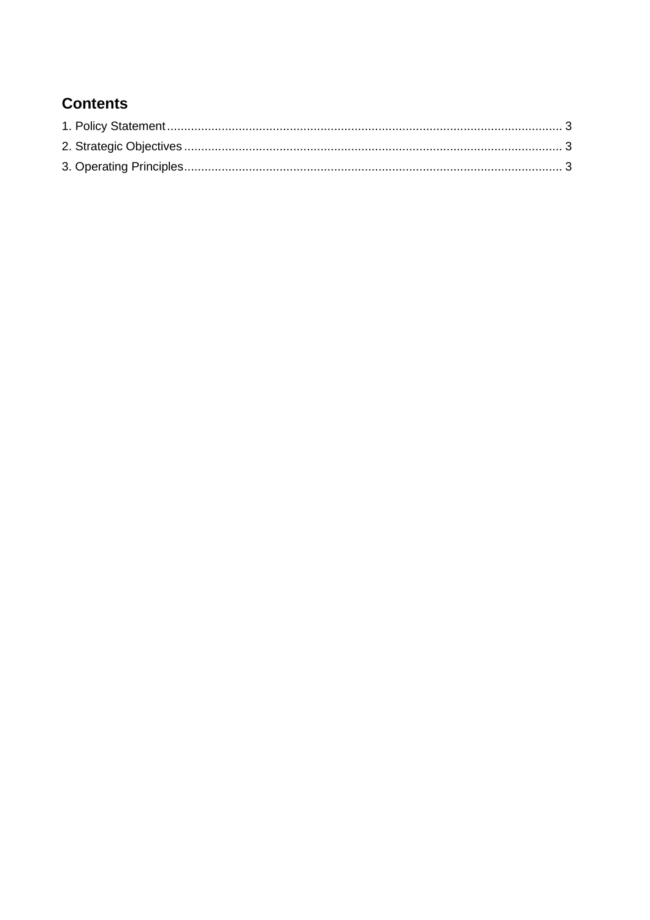## **Contents**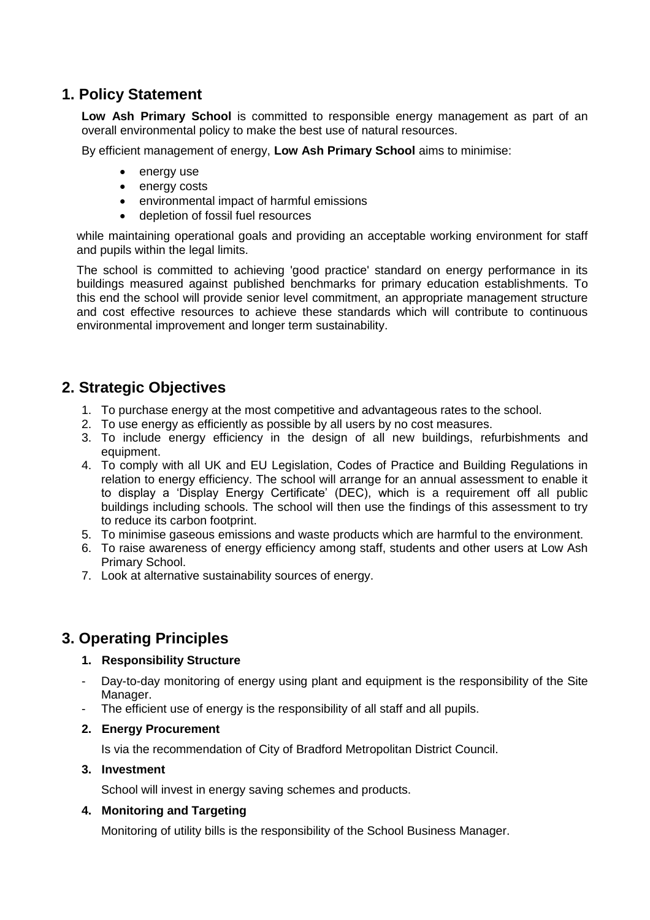## **1. Policy Statement**

**Low Ash Primary School** is committed to responsible energy management as part of an overall environmental policy to make the best use of natural resources.

By efficient management of energy, **Low Ash Primary School** aims to minimise:

- energy use
- energy costs
- environmental impact of harmful emissions
- depletion of fossil fuel resources

while maintaining operational goals and providing an acceptable working environment for staff and pupils within the legal limits.

The school is committed to achieving 'good practice' standard on energy performance in its buildings measured against published benchmarks for primary education establishments. To this end the school will provide senior level commitment, an appropriate management structure and cost effective resources to achieve these standards which will contribute to continuous environmental improvement and longer term sustainability.

### **2. Strategic Objectives**

- 1. To purchase energy at the most competitive and advantageous rates to the school.
- 2. To use energy as efficiently as possible by all users by no cost measures.
- 3. To include energy efficiency in the design of all new buildings, refurbishments and equipment.
- 4. To comply with all UK and EU Legislation, Codes of Practice and Building Regulations in relation to energy efficiency. The school will arrange for an annual assessment to enable it to display a 'Display Energy Certificate' (DEC), which is a requirement off all public buildings including schools. The school will then use the findings of this assessment to try to reduce its carbon footprint.
- 5. To minimise gaseous emissions and waste products which are harmful to the environment.
- 6. To raise awareness of energy efficiency among staff, students and other users at Low Ash Primary School.
- 7. Look at alternative sustainability sources of energy.

### **3. Operating Principles**

#### **1. Responsibility Structure**

- Day-to-day monitoring of energy using plant and equipment is the responsibility of the Site Manager.
- The efficient use of energy is the responsibility of all staff and all pupils.

#### **2. Energy Procurement**

Is via the recommendation of City of Bradford Metropolitan District Council.

#### **3. Investment**

School will invest in energy saving schemes and products.

#### **4. Monitoring and Targeting**

Monitoring of utility bills is the responsibility of the School Business Manager.